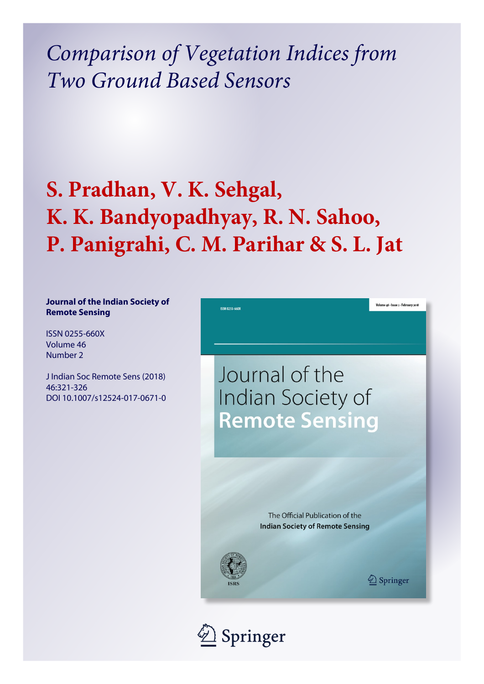*Comparison of Vegetation Indices from Two Ground Based Sensors*

# **S. Pradhan, V. K. Sehgal, K. K. Bandyopadhyay, R. N. Sahoo, P. Panigrahi, C. M. Parihar & S. L. Jat**

# **Journal of the Indian Society of Remote Sensing**

ISSN 0255-660X Volume 46 Number 2

J Indian Soc Remote Sens (2018) 46:321-326 DOI 10.1007/s12524-017-0671-0



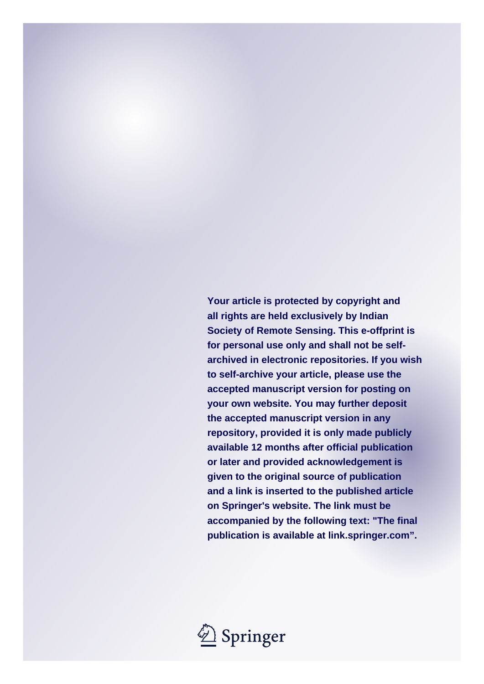**Your article is protected by copyright and all rights are held exclusively by Indian Society of Remote Sensing. This e-offprint is for personal use only and shall not be selfarchived in electronic repositories. If you wish to self-archive your article, please use the accepted manuscript version for posting on your own website. You may further deposit the accepted manuscript version in any repository, provided it is only made publicly available 12 months after official publication or later and provided acknowledgement is given to the original source of publication and a link is inserted to the published article on Springer's website. The link must be accompanied by the following text: "The final publication is available at link.springer.com".**

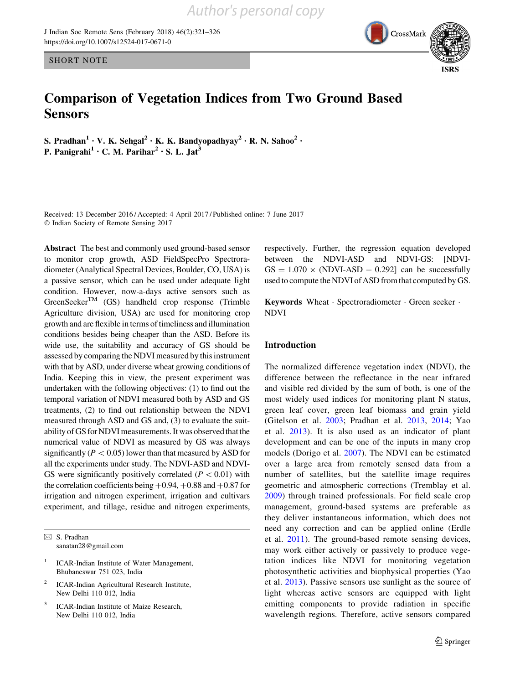J Indian Soc Remote Sens (February 2018) 46(2):321–326 <https://doi.org/10.1007/s12524-017-0671-0>

SHORT NOTE

# Comparison of Vegetation Indices from Two Ground Based **Sensors**

S. Pradhan<sup>1</sup> • V. K. Sehgal<sup>2</sup> • K. K. Bandyopadhyay<sup>2</sup> • R. N. Sahoo<sup>2</sup> • P. Panigrahi<sup>1</sup> • C. M. Parihar<sup>2</sup> • S. L. Jat<sup>3</sup>

Received: 13 December 2016 / Accepted: 4 April 2017 / Published online: 7 June 2017 - Indian Society of Remote Sensing 2017

Abstract The best and commonly used ground-based sensor to monitor crop growth, ASD FieldSpecPro Spectroradiometer (Analytical Spectral Devices, Boulder, CO, USA) is a passive sensor, which can be used under adequate light condition. However, now-a-days active sensors such as  $GreenSelect^{TM}$  (GS) handheld crop response (Trimble Agriculture division, USA) are used for monitoring crop growth and are flexible in terms of timeliness and illumination conditions besides being cheaper than the ASD. Before its wide use, the suitability and accuracy of GS should be assessed by comparing the NDVI measured by this instrument with that by ASD, under diverse wheat growing conditions of India. Keeping this in view, the present experiment was undertaken with the following objectives: (1) to find out the temporal variation of NDVI measured both by ASD and GS treatments, (2) to find out relationship between the NDVI measured through ASD and GS and, (3) to evaluate the suitability of GS for NDVI measurements. It was observed that the numerical value of NDVI as measured by GS was always significantly ( $P < 0.05$ ) lower than that measured by ASD for all the experiments under study. The NDVI-ASD and NDVI-GS were significantly positively correlated ( $P < 0.01$ ) with the correlation coefficients being  $+0.94, +0.88$  and  $+0.87$  for irrigation and nitrogen experiment, irrigation and cultivars experiment, and tillage, residue and nitrogen experiments,

 $\boxtimes$  S. Pradhan sanatan28@gmail.com

- <sup>1</sup> ICAR-Indian Institute of Water Management, Bhubaneswar 751 023, India
- <sup>2</sup> ICAR-Indian Agricultural Research Institute, New Delhi 110 012, India
- ICAR-Indian Institute of Maize Research, New Delhi 110 012, India

respectively. Further, the regression equation developed between the NDVI-ASD and NDVI-GS: [NDVI- $GS = 1.070 \times (NDVI-ASD - 0.292)$  can be successfully used to compute the NDVI of ASD from that computed by GS.

Keywords Wheat - Spectroradiometer - Green seeker - NDVI

# Introduction

The normalized difference vegetation index (NDVI), the difference between the reflectance in the near infrared and visible red divided by the sum of both, is one of the most widely used indices for monitoring plant N status, green leaf cover, green leaf biomass and grain yield (Gitelson et al. [2003](#page-7-0); Pradhan et al. [2013,](#page-7-0) [2014](#page-7-0); Yao et al. [2013](#page-7-0)). It is also used as an indicator of plant development and can be one of the inputs in many crop models (Dorigo et al. [2007](#page-7-0)). The NDVI can be estimated over a large area from remotely sensed data from a number of satellites, but the satellite image requires geometric and atmospheric corrections (Tremblay et al. [2009](#page-7-0)) through trained professionals. For field scale crop management, ground-based systems are preferable as they deliver instantaneous information, which does not need any correction and can be applied online (Erdle et al. [2011\)](#page-7-0). The ground-based remote sensing devices, may work either actively or passively to produce vegetation indices like NDVI for monitoring vegetation photosynthetic activities and biophysical properties (Yao et al. [2013](#page-7-0)). Passive sensors use sunlight as the source of light whereas active sensors are equipped with light emitting components to provide radiation in specific wavelength regions. Therefore, active sensors compared

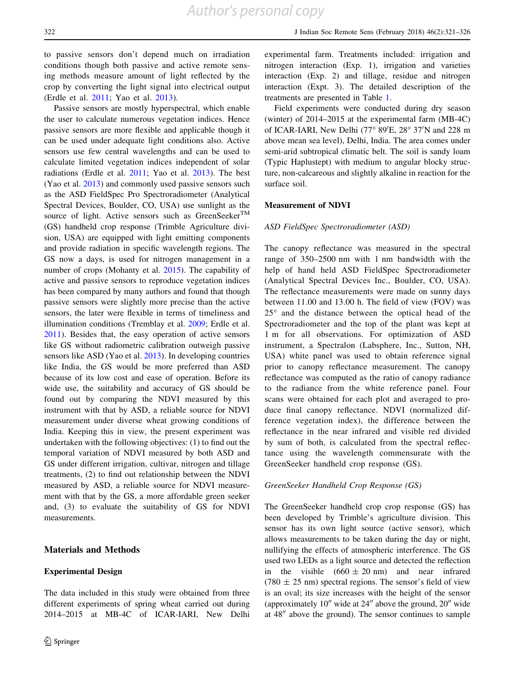to passive sensors don't depend much on irradiation conditions though both passive and active remote sensing methods measure amount of light reflected by the crop by converting the light signal into electrical output (Erdle et al. [2011;](#page-7-0) Yao et al. [2013](#page-7-0)).

Passive sensors are mostly hyperspectral, which enable the user to calculate numerous vegetation indices. Hence passive sensors are more flexible and applicable though it can be used under adequate light conditions also. Active sensors use few central wavelengths and can be used to calculate limited vegetation indices independent of solar radiations (Erdle et al. [2011;](#page-7-0) Yao et al. [2013](#page-7-0)). The best (Yao et al. [2013](#page-7-0)) and commonly used passive sensors such as the ASD FieldSpec Pro Spectroradiometer (Analytical Spectral Devices, Boulder, CO, USA) use sunlight as the source of light. Active sensors such as GreenSeeker<sup>TM</sup> (GS) handheld crop response (Trimble Agriculture division, USA) are equipped with light emitting components and provide radiation in specific wavelength regions. The GS now a days, is used for nitrogen management in a number of crops (Mohanty et al. [2015](#page-7-0)). The capability of active and passive sensors to reproduce vegetation indices has been compared by many authors and found that though passive sensors were slightly more precise than the active sensors, the later were flexible in terms of timeliness and illumination conditions (Tremblay et al. [2009;](#page-7-0) Erdle et al. [2011\)](#page-7-0). Besides that, the easy operation of active sensors like GS without radiometric calibration outweigh passive sensors like ASD (Yao et al. [2013\)](#page-7-0). In developing countries like India, the GS would be more preferred than ASD because of its low cost and ease of operation. Before its wide use, the suitability and accuracy of GS should be found out by comparing the NDVI measured by this instrument with that by ASD, a reliable source for NDVI measurement under diverse wheat growing conditions of India. Keeping this in view, the present experiment was undertaken with the following objectives: (1) to find out the temporal variation of NDVI measured by both ASD and GS under different irrigation, cultivar, nitrogen and tillage treatments, (2) to find out relationship between the NDVI measured by ASD, a reliable source for NDVI measurement with that by the GS, a more affordable green seeker and, (3) to evaluate the suitability of GS for NDVI measurements.

#### Materials and Methods

#### Experimental Design

The data included in this study were obtained from three different experiments of spring wheat carried out during 2014–2015 at MB-4C of ICAR-IARI, New Delhi experimental farm. Treatments included: irrigation and nitrogen interaction (Exp. 1), irrigation and varieties interaction (Exp. 2) and tillage, residue and nitrogen interaction (Expt. 3). The detailed description of the treatments are presented in Table [1.](#page-4-0)

Field experiments were conducted during dry season (winter) of 2014–2015 at the experimental farm (MB-4C) of ICAR-IARI, New Delhi (77° 89'E, 28° 37'N and 228 m above mean sea level), Delhi, India. The area comes under semi-arid subtropical climatic belt. The soil is sandy loam (Typic Haplustept) with medium to angular blocky structure, non-calcareous and slightly alkaline in reaction for the surface soil.

#### Measurement of NDVI

#### ASD FieldSpec Spectroradiometer (ASD)

The canopy reflectance was measured in the spectral range of 350–2500 nm with 1 nm bandwidth with the help of hand held ASD FieldSpec Spectroradiometer (Analytical Spectral Devices Inc., Boulder, CO, USA). The reflectance measurements were made on sunny days between 11.00 and 13.00 h. The field of view (FOV) was  $25^{\circ}$  and the distance between the optical head of the Spectroradiometer and the top of the plant was kept at 1 m for all observations. For optimization of ASD instrument, a Spectralon (Labsphere, Inc., Sutton, NH, USA) white panel was used to obtain reference signal prior to canopy reflectance measurement. The canopy reflectance was computed as the ratio of canopy radiance to the radiance from the white reference panel. Four scans were obtained for each plot and averaged to produce final canopy reflectance. NDVI (normalized difference vegetation index), the difference between the reflectance in the near infrared and visible red divided by sum of both, is calculated from the spectral reflectance using the wavelength commensurate with the GreenSeeker handheld crop response (GS).

#### GreenSeeker Handheld Crop Response (GS)

The GreenSeeker handheld crop crop response (GS) has been developed by Trimble's agriculture division. This sensor has its own light source (active sensor), which allows measurements to be taken during the day or night, nullifying the effects of atmospheric interference. The GS used two LEDs as a light source and detected the reflection in the visible  $(660 \pm 20 \text{ nm})$  and near infrared  $(780 \pm 25 \text{ nm})$  spectral regions. The sensor's field of view is an oval; its size increases with the height of the sensor (approximately  $10<sup>u</sup>$  wide at  $24<sup>u</sup>$  above the ground,  $20<sup>u</sup>$  wide at  $48''$  above the ground). The sensor continues to sample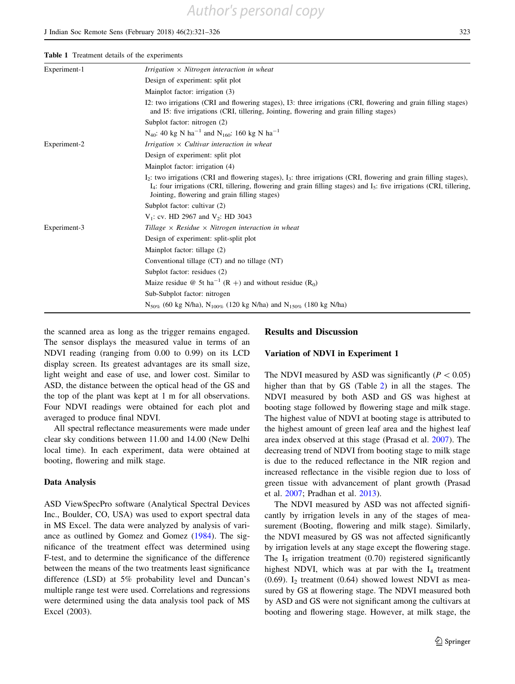the scanned area as long as the trigger remains engaged. The sensor displays the measured value in terms of an NDVI reading (ranging from 0.00 to 0.99) on its LCD display screen. Its greatest advantages are its small size, light weight and ease of use, and lower cost. Similar to ASD, the distance between the optical head of the GS and the top of the plant was kept at 1 m for all observations. Four NDVI readings were obtained for each plot and averaged to produce final NDVI.

Sub-Subplot factor: nitrogen

All spectral reflectance measurements were made under clear sky conditions between 11.00 and 14.00 (New Delhi local time). In each experiment, data were obtained at booting, flowering and milk stage.

# Data Analysis

ASD ViewSpecPro software (Analytical Spectral Devices Inc., Boulder, CO, USA) was used to export spectral data in MS Excel. The data were analyzed by analysis of variance as outlined by Gomez and Gomez ([1984\)](#page-7-0). The significance of the treatment effect was determined using F-test, and to determine the significance of the difference between the means of the two treatments least significance difference (LSD) at 5% probability level and Duncan's multiple range test were used. Correlations and regressions were determined using the data analysis tool pack of MS Excel (2003).

#### Results and Discussion

#### Variation of NDVI in Experiment 1

The NDVI measured by ASD was significantly ( $P < 0.05$ ) higher than that by GS (Table [2\)](#page-5-0) in all the stages. The NDVI measured by both ASD and GS was highest at booting stage followed by flowering stage and milk stage. The highest value of NDVI at booting stage is attributed to the highest amount of green leaf area and the highest leaf area index observed at this stage (Prasad et al. [2007\)](#page-7-0). The decreasing trend of NDVI from booting stage to milk stage is due to the reduced reflectance in the NIR region and increased reflectance in the visible region due to loss of green tissue with advancement of plant growth (Prasad et al. [2007;](#page-7-0) Pradhan et al. [2013\)](#page-7-0).

The NDVI measured by ASD was not affected significantly by irrigation levels in any of the stages of measurement (Booting, flowering and milk stage). Similarly, the NDVI measured by GS was not affected significantly by irrigation levels at any stage except the flowering stage. The  $I_5$  irrigation treatment  $(0.70)$  registered significantly highest NDVI, which was at par with the  $I_4$  treatment (0.69).  $I_2$  treatment (0.64) showed lowest NDVI as measured by GS at flowering stage. The NDVI measured both by ASD and GS were not significant among the cultivars at booting and flowering stage. However, at milk stage, the

| Experiment-1 | Irrigation $\times$ Nitrogen interaction in wheat                                                                                                                                                                                                                                                        |  |  |  |  |  |
|--------------|----------------------------------------------------------------------------------------------------------------------------------------------------------------------------------------------------------------------------------------------------------------------------------------------------------|--|--|--|--|--|
|              | Design of experiment: split plot                                                                                                                                                                                                                                                                         |  |  |  |  |  |
|              | Mainplot factor: irrigation (3)                                                                                                                                                                                                                                                                          |  |  |  |  |  |
|              | I2: two irrigations (CRI and flowering stages), I3: three irrigations (CRI, flowering and grain filling stages)<br>and I5: five irrigations (CRI, tillering, Jointing, flowering and grain filling stages)                                                                                               |  |  |  |  |  |
|              | Subplot factor: nitrogen (2)                                                                                                                                                                                                                                                                             |  |  |  |  |  |
|              | N <sub>40</sub> : 40 kg N ha <sup>-1</sup> and N <sub>160</sub> : 160 kg N ha <sup>-1</sup>                                                                                                                                                                                                              |  |  |  |  |  |
| Experiment-2 | Irrigation $\times$ Cultivar interaction in wheat                                                                                                                                                                                                                                                        |  |  |  |  |  |
|              | Design of experiment: split plot                                                                                                                                                                                                                                                                         |  |  |  |  |  |
|              | Mainplot factor: irrigation (4)                                                                                                                                                                                                                                                                          |  |  |  |  |  |
|              | $I_2$ : two irrigations (CRI and flowering stages), $I_3$ : three irrigations (CRI, flowering and grain filling stages),<br>$I_4$ : four irrigations (CRI, tillering, flowering and grain filling stages) and $I_5$ : five irrigations (CRI, tillering,<br>Jointing, flowering and grain filling stages) |  |  |  |  |  |
|              | Subplot factor: cultivar (2)                                                                                                                                                                                                                                                                             |  |  |  |  |  |
|              | $V_1$ : cv. HD 2967 and $V_2$ : HD 3043                                                                                                                                                                                                                                                                  |  |  |  |  |  |
| Experiment-3 | Tillage $\times$ Residue $\times$ Nitrogen interaction in wheat                                                                                                                                                                                                                                          |  |  |  |  |  |
|              | Design of experiment: split-split plot                                                                                                                                                                                                                                                                   |  |  |  |  |  |
|              | Mainplot factor: tillage (2)                                                                                                                                                                                                                                                                             |  |  |  |  |  |
|              | Conventional tillage (CT) and no tillage (NT)                                                                                                                                                                                                                                                            |  |  |  |  |  |
|              | Subplot factor: residues (2)                                                                                                                                                                                                                                                                             |  |  |  |  |  |
|              | Maize residue @ 5t ha <sup>-1</sup> (R +) and without residue (R <sub>0</sub> )                                                                                                                                                                                                                          |  |  |  |  |  |

*Author's personal copy*

 $N_{50\%}$  (60 kg N/ha),  $N_{100\%}$  (120 kg N/ha) and  $N_{150\%}$  (180 kg N/ha)

<span id="page-4-0"></span>Table 1 Treatment details of the experiments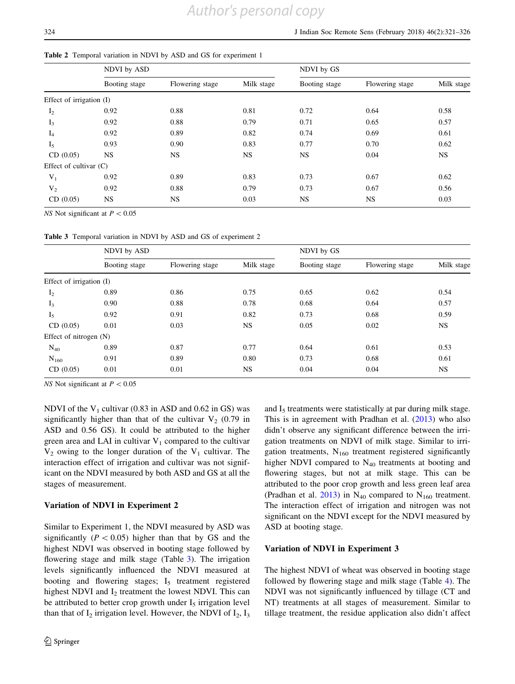#### <span id="page-5-0"></span>Table 2 Temporal variation in NDVI by ASD and GS for experiment 1

|                          | NDVI by ASD   |                 |            | NDVI by GS    |                 |            |  |
|--------------------------|---------------|-----------------|------------|---------------|-----------------|------------|--|
|                          | Booting stage | Flowering stage | Milk stage | Booting stage | Flowering stage | Milk stage |  |
| Effect of irrigation (I) |               |                 |            |               |                 |            |  |
| $I_2$                    | 0.92          | 0.88            | 0.81       | 0.72          | 0.64            | 0.58       |  |
| $I_3$                    | 0.92          | 0.88            | 0.79       | 0.71          | 0.65            | 0.57       |  |
| $I_4$                    | 0.92          | 0.89            | 0.82       | 0.74          | 0.69            | 0.61       |  |
| I <sub>5</sub>           | 0.93          | 0.90            | 0.83       | 0.77          | 0.70            | 0.62       |  |
| CD(0.05)                 | <b>NS</b>     | NS              | <b>NS</b>  | <b>NS</b>     | 0.04            | <b>NS</b>  |  |
| Effect of cultivar $(C)$ |               |                 |            |               |                 |            |  |
| $V_1$                    | 0.92          | 0.89            | 0.83       | 0.73          | 0.67            | 0.62       |  |
| $V_2$                    | 0.92          | 0.88            | 0.79       | 0.73          | 0.67            | 0.56       |  |
| CD(0.05)                 | NS.           | NS              | 0.03       | <b>NS</b>     | NS.             | 0.03       |  |

NS Not significant at  $P < 0.05$ 

Table 3 Temporal variation in NDVI by ASD and GS of experiment 2

|                          | NDVI by ASD   |                 |            | NDVI by GS    |                 |           |  |
|--------------------------|---------------|-----------------|------------|---------------|-----------------|-----------|--|
|                          | Booting stage | Flowering stage | Milk stage | Booting stage | Flowering stage |           |  |
| Effect of irrigation (I) |               |                 |            |               |                 |           |  |
| I <sub>2</sub>           | 0.89          | 0.86            | 0.75       | 0.65          | 0.62            | 0.54      |  |
| $I_3$                    | 0.90          | 0.88            | 0.78       | 0.68          | 0.64            | 0.57      |  |
| I <sub>5</sub>           | 0.92          | 0.91            | 0.82       | 0.73          | 0.68            | 0.59      |  |
| CD(0.05)                 | 0.01          | 0.03            | <b>NS</b>  | 0.05          | 0.02            | <b>NS</b> |  |
| Effect of nitrogen $(N)$ |               |                 |            |               |                 |           |  |
| $N_{40}$                 | 0.89          | 0.87            | 0.77       | 0.64          | 0.61            | 0.53      |  |
| $N_{160}$                | 0.91          | 0.89            | 0.80       | 0.73          | 0.68            | 0.61      |  |
| CD(0.05)                 | 0.01          | 0.01            | NS         | 0.04          | 0.04            | <b>NS</b> |  |

NS Not significant at  $P < 0.05$ 

NDVI of the  $V_1$  cultivar (0.83 in ASD and 0.62 in GS) was significantly higher than that of the cultivar  $V_2$  (0.79 in ASD and 0.56 GS). It could be attributed to the higher green area and LAI in cultivar  $V_1$  compared to the cultivar  $V_2$  owing to the longer duration of the  $V_1$  cultivar. The interaction effect of irrigation and cultivar was not significant on the NDVI measured by both ASD and GS at all the stages of measurement.

#### Variation of NDVI in Experiment 2

Similar to Experiment 1, the NDVI measured by ASD was significantly ( $P < 0.05$ ) higher than that by GS and the highest NDVI was observed in booting stage followed by flowering stage and milk stage (Table 3). The irrigation levels significantly influenced the NDVI measured at booting and flowering stages;  $I_5$  treatment registered highest NDVI and  $I_2$  treatment the lowest NDVI. This can be attributed to better crop growth under  $I_5$  irrigation level than that of  $I_2$  irrigation level. However, the NDVI of  $I_2$ ,  $I_3$  and  $I<sub>5</sub>$  treatments were statistically at par during milk stage. This is in agreement with Pradhan et al. [\(2013](#page-7-0)) who also didn't observe any significant difference between the irrigation treatments on NDVI of milk stage. Similar to irrigation treatments,  $N_{160}$  treatment registered significantly higher NDVI compared to  $N_{40}$  treatments at booting and flowering stages, but not at milk stage. This can be attributed to the poor crop growth and less green leaf area (Pradhan et al. [2013](#page-7-0)) in  $N_{40}$  compared to  $N_{160}$  treatment. The interaction effect of irrigation and nitrogen was not significant on the NDVI except for the NDVI measured by ASD at booting stage.

#### Variation of NDVI in Experiment 3

The highest NDVI of wheat was observed in booting stage followed by flowering stage and milk stage (Table [4\)](#page-6-0). The NDVI was not significantly influenced by tillage (CT and NT) treatments at all stages of measurement. Similar to tillage treatment, the residue application also didn't affect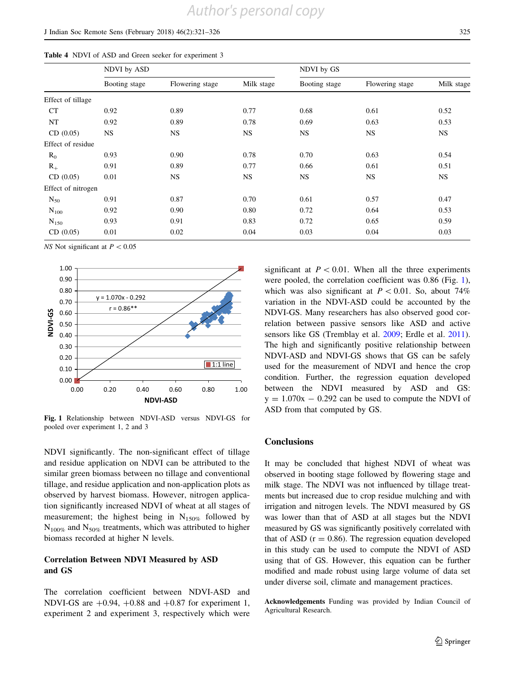## <span id="page-6-0"></span>J Indian Soc Remote Sens (February 2018) 46(2):321–326 325

|  |  |  |  |  |  |  | Table 4 NDVI of ASD and Green seeker for experiment 3 |  |
|--|--|--|--|--|--|--|-------------------------------------------------------|--|
|--|--|--|--|--|--|--|-------------------------------------------------------|--|

|                    | NDVI by ASD                      |           |            | NDVI by GS    |                 |            |  |
|--------------------|----------------------------------|-----------|------------|---------------|-----------------|------------|--|
|                    | Flowering stage<br>Booting stage |           | Milk stage | Booting stage | Flowering stage | Milk stage |  |
| Effect of tillage  |                                  |           |            |               |                 |            |  |
| CT                 | 0.92                             | 0.89      | 0.77       | 0.68          | 0.61            | 0.52       |  |
| NT                 | 0.92                             | 0.89      | 0.78       | 0.69          | 0.63            | 0.53       |  |
| CD (0.05)          | <b>NS</b>                        | <b>NS</b> | <b>NS</b>  | <b>NS</b>     | <b>NS</b>       | <b>NS</b>  |  |
| Effect of residue  |                                  |           |            |               |                 |            |  |
| $R_0$              | 0.93                             | 0.90      | 0.78       | 0.70          | 0.63            | 0.54       |  |
| $R_{+}$            | 0.91                             | 0.89      | 0.77       | 0.66          | 0.61            | 0.51       |  |
| CD (0.05)          | 0.01                             | <b>NS</b> | <b>NS</b>  | <b>NS</b>     | <b>NS</b>       | <b>NS</b>  |  |
| Effect of nitrogen |                                  |           |            |               |                 |            |  |
| $N_{50}$           | 0.91                             | 0.87      | 0.70       | 0.61          | 0.57            | 0.47       |  |
| $N_{100}$          | 0.92                             | 0.90      | 0.80       | 0.72          | 0.64            | 0.53       |  |
| $N_{150}$          | 0.93                             | 0.91      | 0.83       | 0.72          | 0.65            | 0.59       |  |
| CD(0.05)           | 0.01                             | 0.02      | 0.04       | 0.03          | 0.04            | 0.03       |  |
|                    |                                  |           |            |               |                 |            |  |

NS Not significant at  $P < 0.05$ 



Fig. 1 Relationship between NDVI-ASD versus NDVI-GS for pooled over experiment 1, 2 and 3

NDVI significantly. The non-significant effect of tillage and residue application on NDVI can be attributed to the similar green biomass between no tillage and conventional tillage, and residue application and non-application plots as observed by harvest biomass. However, nitrogen application significantly increased NDVI of wheat at all stages of measurement; the highest being in  $N_{150\%}$  followed by  $N_{100\%}$  and  $N_{50\%}$  treatments, which was attributed to higher biomass recorded at higher N levels.

# Correlation Between NDVI Measured by ASD and GS

The correlation coefficient between NDVI-ASD and NDVI-GS are  $+0.94$ ,  $+0.88$  and  $+0.87$  for experiment 1, experiment 2 and experiment 3, respectively which were

significant at  $P < 0.01$ . When all the three experiments were pooled, the correlation coefficient was 0.86 (Fig. 1), which was also significant at  $P < 0.01$ . So, about 74% variation in the NDVI-ASD could be accounted by the NDVI-GS. Many researchers has also observed good correlation between passive sensors like ASD and active sensors like GS (Tremblay et al. [2009](#page-7-0); Erdle et al. [2011](#page-7-0)). The high and significantly positive relationship between NDVI-ASD and NDVI-GS shows that GS can be safely used for the measurement of NDVI and hence the crop condition. Further, the regression equation developed between the NDVI measured by ASD and GS:  $y = 1.070x - 0.292$  can be used to compute the NDVI of ASD from that computed by GS.

#### **Conclusions**

It may be concluded that highest NDVI of wheat was observed in booting stage followed by flowering stage and milk stage. The NDVI was not influenced by tillage treatments but increased due to crop residue mulching and with irrigation and nitrogen levels. The NDVI measured by GS was lower than that of ASD at all stages but the NDVI measured by GS was significantly positively correlated with that of ASD  $(r = 0.86)$ . The regression equation developed in this study can be used to compute the NDVI of ASD using that of GS. However, this equation can be further modified and made robust using large volume of data set under diverse soil, climate and management practices.

Acknowledgements Funding was provided by Indian Council of Agricultural Research.